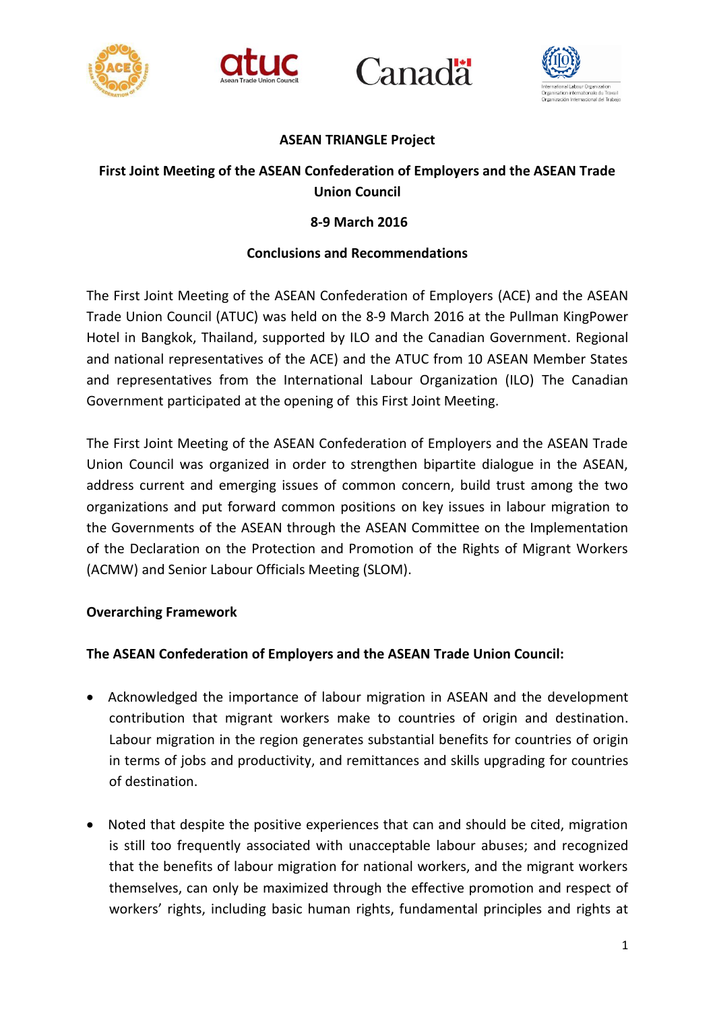







### **ASEAN TRIANGLE Project**

# **First Joint Meeting of the ASEAN Confederation of Employers and the ASEAN Trade Union Council**

## **8-9 March 2016**

### **Conclusions and Recommendations**

The First Joint Meeting of the ASEAN Confederation of Employers (ACE) and the ASEAN Trade Union Council (ATUC) was held on the 8-9 March 2016 at the Pullman KingPower Hotel in Bangkok, Thailand, supported by ILO and the Canadian Government. Regional and national representatives of the ACE) and the ATUC from 10 ASEAN Member States and representatives from the International Labour Organization (ILO) The Canadian Government participated at the opening of this First Joint Meeting.

The First Joint Meeting of the ASEAN Confederation of Employers and the ASEAN Trade Union Council was organized in order to strengthen bipartite dialogue in the ASEAN, address current and emerging issues of common concern, build trust among the two organizations and put forward common positions on key issues in labour migration to the Governments of the ASEAN through the ASEAN Committee on the Implementation of the Declaration on the Protection and Promotion of the Rights of Migrant Workers (ACMW) and Senior Labour Officials Meeting (SLOM).

### **Overarching Framework**

### **The ASEAN Confederation of Employers and the ASEAN Trade Union Council:**

- Acknowledged the importance of labour migration in ASEAN and the development contribution that migrant workers make to countries of origin and destination. Labour migration in the region generates substantial benefits for countries of origin in terms of jobs and productivity, and remittances and skills upgrading for countries of destination.
- Noted that despite the positive experiences that can and should be cited, migration is still too frequently associated with unacceptable labour abuses; and recognized that the benefits of labour migration for national workers, and the migrant workers themselves, can only be maximized through the effective promotion and respect of workers' rights, including basic human rights, fundamental principles and rights at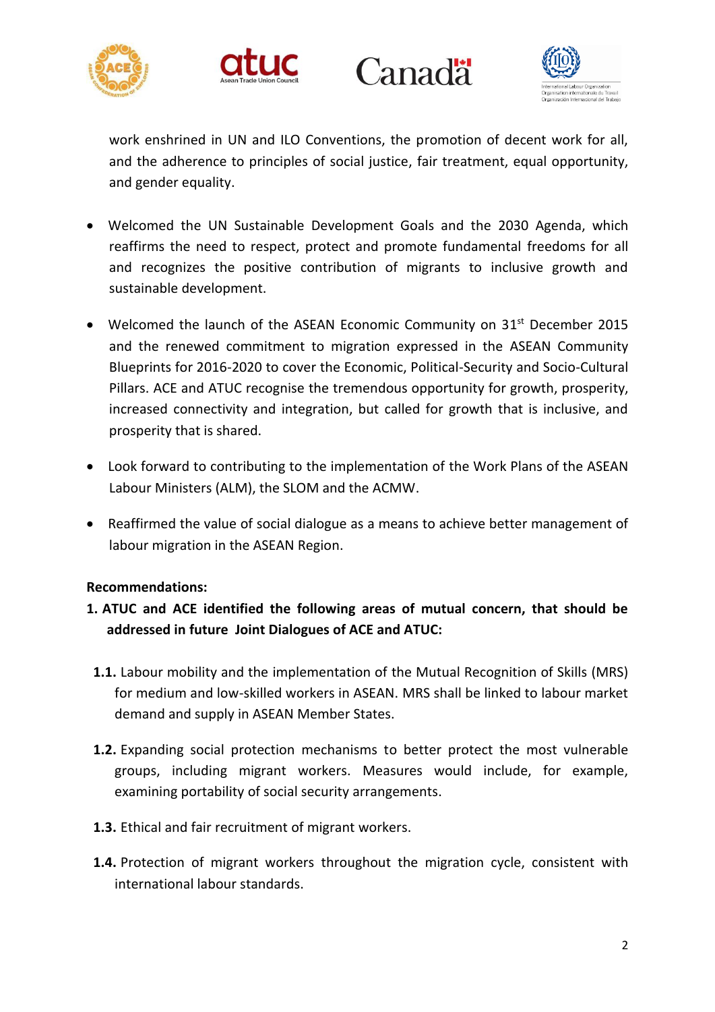







work enshrined in UN and ILO Conventions, the promotion of decent work for all, and the adherence to principles of social justice, fair treatment, equal opportunity, and gender equality.

- Welcomed the UN Sustainable Development Goals and the 2030 Agenda, which reaffirms the need to respect, protect and promote fundamental freedoms for all and recognizes the positive contribution of migrants to inclusive growth and sustainable development.
- Welcomed the launch of the ASEAN Economic Community on 31<sup>st</sup> December 2015 and the renewed commitment to migration expressed in the ASEAN Community Blueprints for 2016-2020 to cover the Economic, Political-Security and Socio-Cultural Pillars. ACE and ATUC recognise the tremendous opportunity for growth, prosperity, increased connectivity and integration, but called for growth that is inclusive, and prosperity that is shared.
- Look forward to contributing to the implementation of the Work Plans of the ASEAN Labour Ministers (ALM), the SLOM and the ACMW.
- Reaffirmed the value of social dialogue as a means to achieve better management of labour migration in the ASEAN Region.

### **Recommendations:**

# **1. ATUC and ACE identified the following areas of mutual concern, that should be addressed in future Joint Dialogues of ACE and ATUC:**

- **1.1.** Labour mobility and the implementation of the Mutual Recognition of Skills (MRS) for medium and low-skilled workers in ASEAN. MRS shall be linked to labour market demand and supply in ASEAN Member States.
- **1.2.** Expanding social protection mechanisms to better protect the most vulnerable groups, including migrant workers. Measures would include, for example, examining portability of social security arrangements.
- **1.3.** Ethical and fair recruitment of migrant workers.
- **1.4.** Protection of migrant workers throughout the migration cycle, consistent with international labour standards.